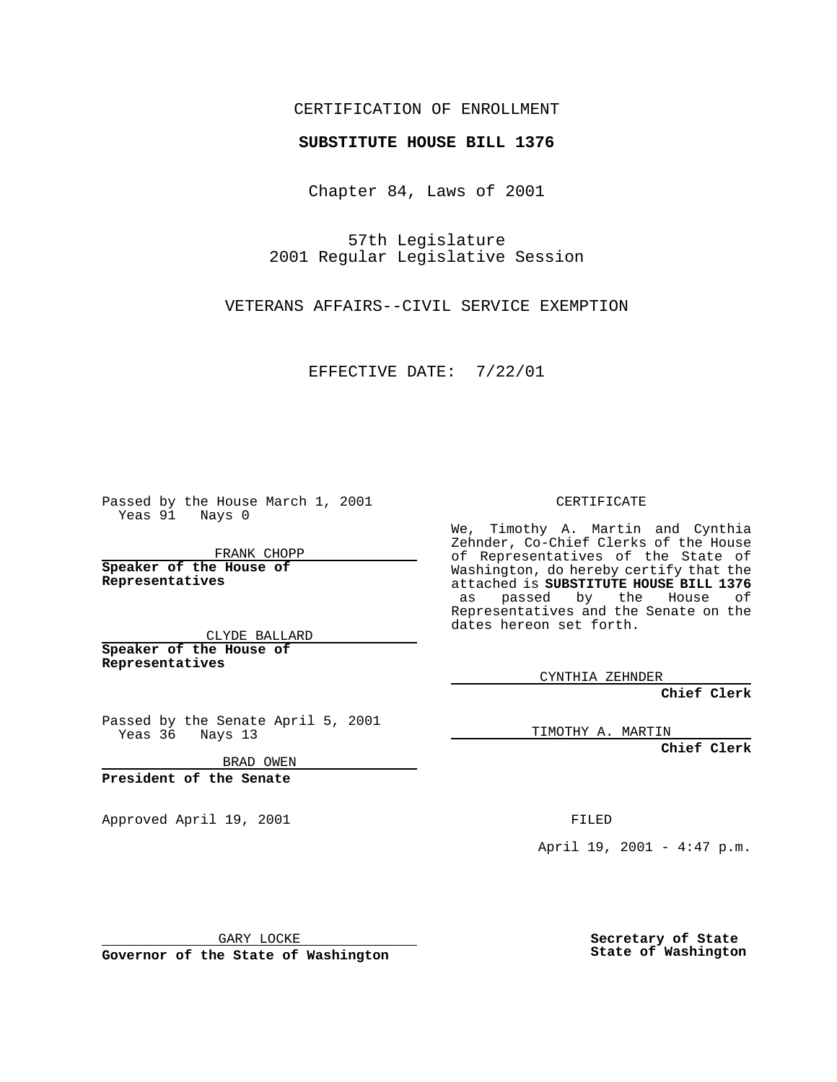## CERTIFICATION OF ENROLLMENT

## **SUBSTITUTE HOUSE BILL 1376**

Chapter 84, Laws of 2001

57th Legislature 2001 Regular Legislative Session

VETERANS AFFAIRS--CIVIL SERVICE EXEMPTION

EFFECTIVE DATE: 7/22/01

Passed by the House March 1, 2001 Yeas 91 Nays 0

FRANK CHOPP

**Speaker of the House of Representatives**

CLYDE BALLARD **Speaker of the House of**

**Representatives**

Passed by the Senate April 5, 2001 Yeas 36 Nays 13

BRAD OWEN

**President of the Senate**

Approved April 19, 2001 FILED

CERTIFICATE

We, Timothy A. Martin and Cynthia Zehnder, Co-Chief Clerks of the House of Representatives of the State of Washington, do hereby certify that the attached is **SUBSTITUTE HOUSE BILL 1376** as passed by the House of Representatives and the Senate on the dates hereon set forth.

CYNTHIA ZEHNDER

**Chief Clerk**

TIMOTHY A. MARTIN

**Chief Clerk**

April 19, 2001 - 4:47 p.m.

GARY LOCKE

**Governor of the State of Washington**

**Secretary of State State of Washington**